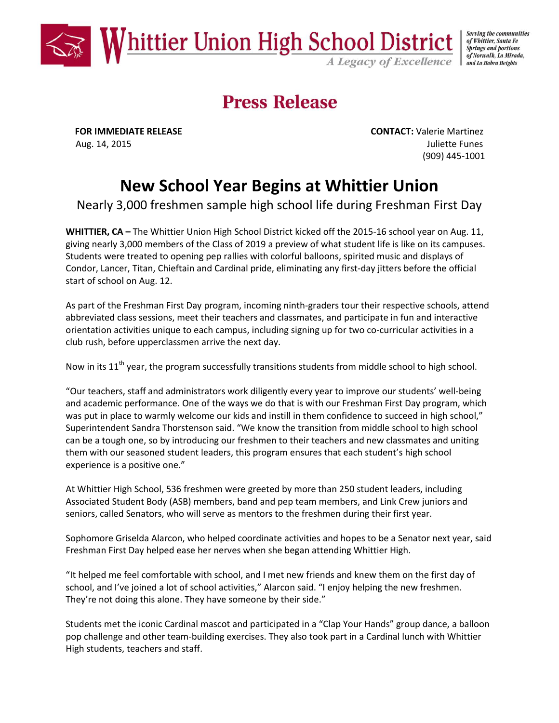

Serving the communities of Whittier, Santa Fe **Springs and portions** of Norwalk, La Mirada, and La Habra Heights

# **Press Release**

**FOR IMMEDIATE RELEASE CONTACT:** Valerie Martinez Aug. 14, 2015 **Juliette Funes** (909) 445-1001

## **New School Year Begins at Whittier Union**

Nearly 3,000 freshmen sample high school life during Freshman First Day

**WHITTIER, CA –** The Whittier Union High School District kicked off the 2015-16 school year on Aug. 11, giving nearly 3,000 members of the Class of 2019 a preview of what student life is like on its campuses. Students were treated to opening pep rallies with colorful balloons, spirited music and displays of Condor, Lancer, Titan, Chieftain and Cardinal pride, eliminating any first-day jitters before the official start of school on Aug. 12.

As part of the Freshman First Day program, incoming ninth-graders tour their respective schools, attend abbreviated class sessions, meet their teachers and classmates, and participate in fun and interactive orientation activities unique to each campus, including signing up for two co-curricular activities in a club rush, before upperclassmen arrive the next day.

Now in its  $11^{th}$  year, the program successfully transitions students from middle school to high school.

"Our teachers, staff and administrators work diligently every year to improve our students' well-being and academic performance. One of the ways we do that is with our Freshman First Day program, which was put in place to warmly welcome our kids and instill in them confidence to succeed in high school," Superintendent Sandra Thorstenson said. "We know the transition from middle school to high school can be a tough one, so by introducing our freshmen to their teachers and new classmates and uniting them with our seasoned student leaders, this program ensures that each student's high school experience is a positive one."

At Whittier High School, 536 freshmen were greeted by more than 250 student leaders, including Associated Student Body (ASB) members, band and pep team members, and Link Crew juniors and seniors, called Senators, who will serve as mentors to the freshmen during their first year.

Sophomore Griselda Alarcon, who helped coordinate activities and hopes to be a Senator next year, said Freshman First Day helped ease her nerves when she began attending Whittier High.

"It helped me feel comfortable with school, and I met new friends and knew them on the first day of school, and I've joined a lot of school activities," Alarcon said. "I enjoy helping the new freshmen. They're not doing this alone. They have someone by their side."

Students met the iconic Cardinal mascot and participated in a "Clap Your Hands" group dance, a balloon pop challenge and other team-building exercises. They also took part in a Cardinal lunch with Whittier High students, teachers and staff.